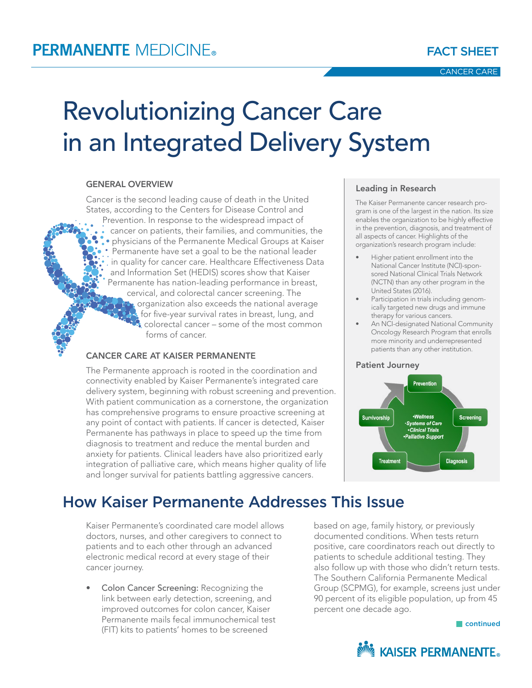# Revolutionizing Cancer Care in an Integrated Delivery System

#### GENERAL OVERVIEW

Cancer is the second leading cause of death in the United States, according to the Centers for Disease Control and Prevention. In response to the widespread impact of cancer on patients, their families, and communities, the physicians of the Permanente Medical Groups at Kaiser Permanente have set a goal to be the national leader in quality for cancer care. Healthcare Effectiveness Data and Information Set (HEDIS) scores show that Kaiser Permanente has nation-leading performance in breast, cervical, and colorectal cancer screening. The organization also exceeds the national average for five-year survival rates in breast, lung, and colorectal cancer – some of the most common forms of cancer.

#### CANCER CARE AT KAISER PERMANENTE

The Permanente approach is rooted in the coordination and connectivity enabled by Kaiser Permanente's integrated care delivery system, beginning with robust screening and prevention. With patient communication as a cornerstone, the organization has comprehensive programs to ensure proactive screening at any point of contact with patients. If cancer is detected, Kaiser Permanente has pathways in place to speed up the time from diagnosis to treatment and reduce the mental burden and anxiety for patients. Clinical leaders have also prioritized early integration of palliative care, which means higher quality of life and longer survival for patients battling aggressive cancers.

#### Leading in Research

The Kaiser Permanente cancer research program is one of the largest in the nation. Its size enables the organization to be highly effective in the prevention, diagnosis, and treatment of all aspects of cancer. Highlights of the organization's research program include:

- Higher patient enrollment into the National Cancer Institute (NCI)-sponsored National Clinical Trials Network (NCTN) than any other program in the United States (2016).
- Participation in trials including genomically targeted new drugs and immune therapy for various cancers.
- An NCI-designated National Community Oncology Research Program that enrolls more minority and underrepresented patients than any other institution.

#### Patient Journey



## How Kaiser Permanente Addresses This Issue

Kaiser Permanente's coordinated care model allows doctors, nurses, and other caregivers to connect to patients and to each other through an advanced electronic medical record at every stage of their cancer journey.

• Colon Cancer Screening: Recognizing the link between early detection, screening, and improved outcomes for colon cancer, Kaiser Permanente mails fecal immunochemical test (FIT) kits to patients' homes to be screened

based on age, family history, or previously documented conditions. When tests return positive, care coordinators reach out directly to patients to schedule additional testing. They also follow up with those who didn't return tests. The Southern California Permanente Medical Group (SCPMG), for example, screens just under 90 percent of its eligible population, up from 45 percent one decade ago.